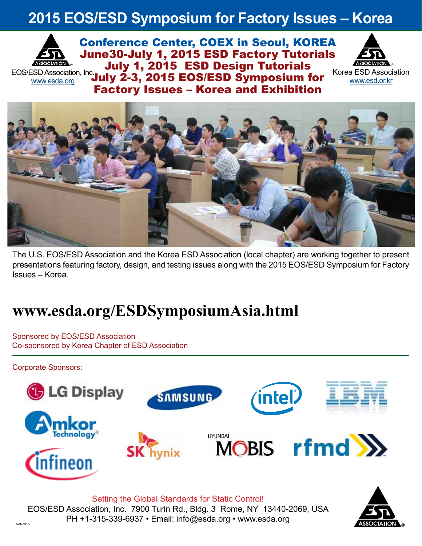# **2015 EOS/ESD Symposium for Factory Issues – Korea**



Conference Center, COEX in Seoul, KOREA June30-July 1, 2015 ESD Factory Tutorials July 1, 2015 ESD Design Tutorials EOS/ESD Association, Inc. July 2-3, 2015 EOS/ESD Symposium for Factory Issues – Korea and Exhibition



Korea ESD Association www.esd.or.kr



The U.S. EOS/ESD Association and the Korea ESD Association (local chapter) are working together to present presentations featuring factory, design, and testing issues along with the 2015 EOS/ESD Symposium for Factory Issues – Korea.

# **www.esda.org/ESDSymposiumAsia.html**

Sponsored by EOS/ESD Association Co-sponsored by Korea Chapter of ESD Association

Corporate Sponsors:



Setting the Global Standards for Static Control! EOS/ESD Association, Inc. 7900 Turin Rd., Bldg. 3 Rome, NY 13440-2069, USA  $PH +1-315-339-6937 \cdot \text{Email: info@esda.org} \cdot \text{www.esda.org}$ 

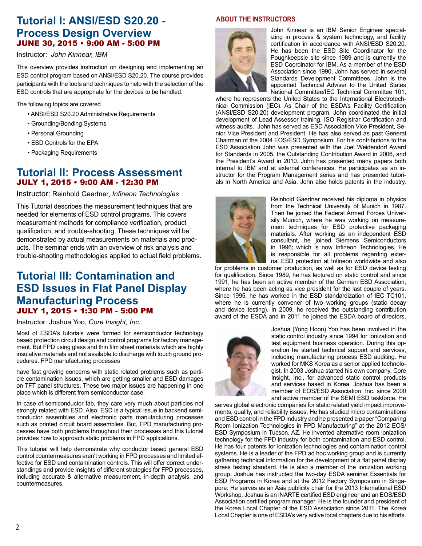# **Tutorial I: ANSI/ESD S20.20 - Process Design Overview**  JUNE 30, 2015 • 9:00 AM - 5:00 PM

#### Instructor: *John Kinnear, IBM*

This overview provides instruction on designing and implementing an ESD control program based on ANSI/ESD S20.20. The course provides participants with the tools and techniques to help with the selection of the ESD controls that are appropriate for the devices to be handled.

The following topics are covered

- ANSI/ESD S20.20 Administrative Requirements
- Grounding/Bonding Systems
- Personal Grounding
- ESD Controls for the EPA
- Packaging Requirements

## **Tutorial II: Process Assessment** JULY 1, 2015 • 9:00 AM - 12:30 PM

Instructor: Reinhold Gaertner, *Infineon Technologies*

This Tutorial describes the measurement techniques that are needed for elements of ESD control programs. This covers measurement methods for compliance verification, product qualification, and trouble-shooting. These techniques will be demonstrated by actual measurements on materials and products. The seminar ends with an overview of risk analysis and trouble-shooting methodologies applied to actual field problems.

# **Tutorial III: Contamination and ESD Issues in Flat Panel Display Manufacturing Process** JULY 1, 2015 • 1:30 PM - 5:00 PM

Instructor: Joshua Yoo, *Core Insight, Inc.*

Most of ESDA's tutorials were formed for semiconductor technology based protection circuit design and control programs for factory management. But FPD using glass and thin film sheet materials which are highly insulative materials and not available to discharge with touch ground procedures. FPD manufacturing processes

have fast growing concerns with static related problems such as particle contamination issues, which are getting smaller and ESD damages on TFT panel structures. These two major issues are happening in one place which is different from semiconductor case.

In case of semiconductor fab, they care very much about particles not strongly related with ESD. Also, ESD is a typical issue in backend semiconductor assemblies and electronic parts manufacturing processes such as printed circuit board assemblies. But, FPD manufacturing processes have both problems throughout their processes and this tutorial provides how to approach static problems in FPD applications.

This tutorial will help demonstrate why conductor based general ESD control countermeasures aren't working in FPD processes and limited effective for ESD and contamination controls. This will offer correct understandings and provide insights of different strategies for FPD processes, including accurate & alternative measurement, in-depth analysis, and countermeasures.

#### **ABOUT THE INSTRUCTORS**



John Kinnear is an IBM Senior Engineer specializing in process & system technology, and facility certification in accordance with ANSI/ESD S20.20. He has been the ESD Site Coordinator for the Poughkeepsie site since 1989 and is currently the ESD Coordinator for IBM. As a member of the ESD Association since 1990, John has served in several Standards Development Committees. John is the appointed Technical Adviser to the United States National Committee/IEC Technical Committee 101,

where he represents the United States to the International Electrotechnical Commission (IEC). As Chair of the ESDA's Facility Certification (ANSI/ESD S20.20) development program, John coordinated the initial development of Lead Assessor training, ISO Registrar Certification and witness audits. John has served as ESD Association Vice President, Senior Vice President and President. He has also served as past General Chairman of the 2004 EOS/ESD Symposium. For his contributions to the ESD Association John was presented with the Joel Weidendorf Award for Standards in 2005, the Outstanding Contribution Award in 2006, and the President's Award in 2010. John has presented many papers both internal to IBM and at external conferences. He participates as an instructor for the Program Management series and has presented tutorials in North America and Asia. John also holds patents in the industry.



Reinhold Gaertner received his diploma in physics from the Technical University of Munich in 1987. Then he joined the Federal Armed Forces University Munich, where he was working on measurement techniques for ESD protective packaging materials. After working as an independent ESD consultant, he joined Siemens Semiconductors in 1996; which is now Infineon Technologies. He is responsible for all problems regarding external ESD protection at Infineon worldwide and also

for problems in customer production, as well as for ESD device testing for qualification. Since 1989, he has lectured on static control and since 1991, he has been an active member of the German ESD Association, where he has been acting as vice president for the last couple of years. Since 1995, he has worked in the ESD standardization of IEC TC101, where he is currently convener of two working groups (static decay and device testing). In 2009, he received the outstanding contribution award of the ESDA and in 2011 he joined the ESDA board of directors.



Joshua (Yong Hoon) Yoo has been involved in the static control industry since 1994 for ionization and test equipment business operation. During this operation he started technical support and services, including manufacturing process ESD auditing. He worked for MKS Korea as a senior applied technologist. In 2003 Joshua started his own company, Core Insight, Inc., for advanced static control products and services based in Korea. Joshua has been a member of EOS/ESD Association, Inc. since 2000 and active member of the SEMI ESD taskforce. He

serves global electronic companies for static related yield impact improvements, quality, and reliability issues. He has studied micro contaminations and ESD control in the FPD industry and he presented a paper "Comparing Room Ionization Technologies in FPD Manufacturing" at the 2012 EOS/ ESD Symposium in Tucson, AZ. He invented alternative room ionization technology for the FPD industry for both contamination and ESD control. He has four patents for ionization technologies and contamination control systems. He is a leader of the FPD ad hoc working group and is currently gathering technical information for the development of a flat panel display stress testing standard. He is also a member of the ionization working group. Joshua has instructed the two-day ESDA seminar Essentials for ESD Programs in Korea and at the 2012 Factory Symposium in Singapore. He serves as an Asia publicity chair for the 2013 International ESD Workshop. Joshua is an iNARTE certified ESD engineer and an EOS/ESD Association certified program manager. He is the founder and president of the Korea Local Chapter of the ESD Association since 2011. The Korea Local Chapter is one of ESDA's very active local chapters due to his efforts.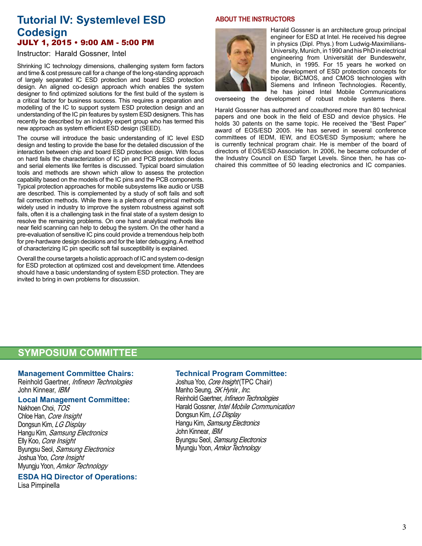## **Tutorial IV: Systemlevel ESD Codesign**  JULY 1, 2015 • 9:00 AM - 5:00 PM

#### Instructor: Harald Gossner, Intel

Shrinking IC technology dimensions, challenging system form factors and time & cost pressure call for a change of the long-standing approach of largely separated IC ESD protection and board ESD protection design. An aligned co-design approach which enables the system designer to find optimized solutions for the first build of the system is a critical factor for business success. This requires a preparation and modelling of the IC to support system ESD protection design and an understanding of the IC pin features by system ESD designers. This has recently be described by an industry expert group who has termed this new approach as system efficient ESD design (SEED).

The course will introduce the basic understanding of IC level ESD design and testing to provide the base for the detailed discussion of the interaction between chip and board ESD protection design. With focus on hard fails the characterization of IC pin and PCB protection diodes and serial elements like ferrites is discussed. Typical board simulation tools and methods are shown which allow to assess the protection capability based on the models of the IC pins and the PCB components. Typical protection approaches for mobile subsystems like audio or USB are described. This is complemented by a study of soft fails and soft fail correction methods. While there is a plethora of empirical methods widely used in industry to improve the system robustness against soft fails, often it is a challenging task in the final state of a system design to resolve the remaining problems. On one hand analytical methods like near field scanning can help to debug the system. On the other hand a pre-evaluation of sensitive IC pins could provide a tremendous help both for pre-hardware design decisions and for the later debugging. A method of characterizing IC pin specific soft fail susceptibility is explained.

Overall the course targets a holistic approach of IC and system co-design for ESD protection at optimized cost and development time. Attendees should have a basic understanding of system ESD protection. They are invited to bring in own problems for discussion.

#### **ABOUT THE INSTRUCTORS**



Harald Gossner is an architecture group principal engineer for ESD at Intel. He received his degree in physics (Dipl. Phys.) from Ludwig-Maximilians-University, Munich, in 1990 and his PhD in electrical engineering from Universität der Bundeswehr, Munich, in 1995. For 15 years he worked on the development of ESD protection concepts for bipolar, BiCMOS, and CMOS technologies with Siemens and Infineon Technologies. Recently, he has joined Intel Mobile Communications

overseeing the development of robust mobile systems there. Harald Gossner has authored and coauthored more than 80 technical papers and one book in the field of ESD and device physics. He holds 30 patents on the same topic. He received the "Best Paper" award of EOS/ESD 2005. He has served in several conference committees of IEDM, IEW, and EOS/ESD Symposium; where he is currently technical program chair. He is member of the board of directors of EOS/ESD Association. In 2006, he became cofounder of the Industry Council on ESD Target Levels. Since then, he has co-

chaired this committee of 50 leading electronics and IC companies.

## **SYMPOSIUM COMMITTEE**

#### **Management Committee Chairs:**

Reinhold Gaertner, Infineon Technologies John Kinnear, IBM

#### **Local Management Committee:**

Nakhoen Choi, TOS Chloe Han, Core Insight Dongsun Kim, LG Display Hangu Kim, Samsung Electronics Elly Koo, Core Insight Byungsu Seol, Samsung Electronics Joshua Yoo, Core Insight Myungju Yoon, Amkor Technology

**ESDA HQ Director of Operations:**

Lisa Pimpinella

#### **Technical Program Committee:**

Joshua Yoo, Core Insight (TPC Chair) Manho Seung, SK Hynix, Inc. Reinhold Gaertner, *Infineon Technologies* Harald Gossner, Intel Mobile Communication Dongsun Kim, LG Display Hangu Kim, Samsung Electronics John Kinnear, IBM Byungsu Seol, Samsung Electronics Myungju Yoon, Amkor Technology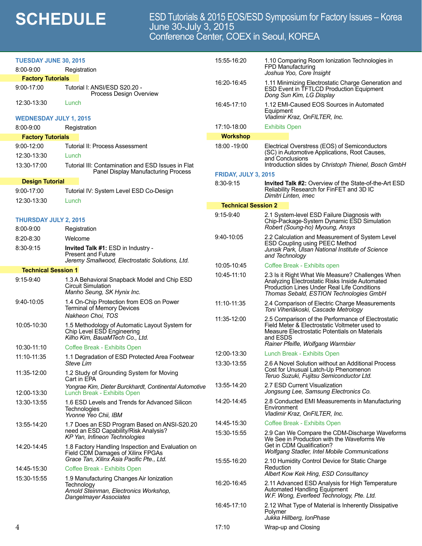# **SCHEDULE** ESD Tutorials & 2015 EOS/ESD Symposium for Factory Issues – Korea<br>June 30-July 3, 2015 Conference Center, COEX in Seoul, KOREA

| <b>TUESDAY JUNE 30, 2015</b>                    |                                                                                                                            | 15:55-16:20                                                               | 1.10 Comparing Room Ionization Technologies in                                                                                                                                               |  |  |
|-------------------------------------------------|----------------------------------------------------------------------------------------------------------------------------|---------------------------------------------------------------------------|----------------------------------------------------------------------------------------------------------------------------------------------------------------------------------------------|--|--|
| $8:00 - 9:00$                                   | Registration                                                                                                               |                                                                           | FPD Manufacturing<br>Joshua Yoo, Core Insight                                                                                                                                                |  |  |
| <b>Factory Tutorials</b>                        |                                                                                                                            | 16:20-16:45                                                               | 1.11 Minimizing Electrostatic Charge Generation and                                                                                                                                          |  |  |
| 9:00-17:00                                      | Tutorial I: ANSI/ESD S20.20 -<br>Process Design Overview                                                                   |                                                                           | ESD Event in TFTLCD Production Equipment<br>Dong Sun Kim, LG Display                                                                                                                         |  |  |
| 12:30-13:30                                     | Lunch                                                                                                                      | 16:45-17:10                                                               | 1.12 EMI-Caused EOS Sources in Automated<br>Equipment                                                                                                                                        |  |  |
| <b>WEDNESDAY JULY 1, 2015</b>                   |                                                                                                                            |                                                                           | Vladimir Kraz, OnFILTER, Inc.                                                                                                                                                                |  |  |
| $8:00 - 9:00$                                   | Registration                                                                                                               | 17:10-18:00                                                               | <b>Exhibits Open</b>                                                                                                                                                                         |  |  |
| <b>Factory Tutorials</b>                        |                                                                                                                            | <b>Workshop</b>                                                           |                                                                                                                                                                                              |  |  |
| 9:00-12:00                                      | <b>Tutorial II: Process Assessment</b>                                                                                     | 18:00 - 19:00                                                             | Electrical Overstress (EOS) of Semiconductors                                                                                                                                                |  |  |
| 12:30-13:30                                     | Lunch                                                                                                                      |                                                                           | (SC) in Automotive Applications, Root Causes,<br>and Conclusions                                                                                                                             |  |  |
| 13:30-17:00                                     | Tutorial III: Contamination and ESD Issues in Flat<br>Panel Display Manufacturing Process                                  | <b>FRIDAY, JULY 3, 2015</b>                                               | Introduction slides by Christoph Thienel, Bosch GmbH                                                                                                                                         |  |  |
| <b>Design Tutorial</b>                          |                                                                                                                            | 8:30-9:15<br><b>Invited Talk #2: Overview of the State-of-the-Art ESD</b> |                                                                                                                                                                                              |  |  |
| 9:00-17:00                                      | Tutorial IV: System Level ESD Co-Design                                                                                    |                                                                           | Reliability Research for FinFET and 3D IC<br>Dimitri Linten, imec                                                                                                                            |  |  |
| 12:30-13:30                                     | Lunch                                                                                                                      | <b>Technical Session 2</b>                                                |                                                                                                                                                                                              |  |  |
| <b>THURSDAY JULY 2, 2015</b>                    |                                                                                                                            | $9:15-9:40$                                                               | 2.1 System-level ESD Failure Diagnosis with<br>Chip-Package-System Dynamic ESD Simulation                                                                                                    |  |  |
| 8:00-9:00                                       | Registration                                                                                                               |                                                                           | Robert (Soung-ho) Myoung, Ansys                                                                                                                                                              |  |  |
| $8:20 - 8:30$                                   | Welcome                                                                                                                    | $9:40-10:05$                                                              | 2.2 Calculation and Measurement of System Level<br>ESD Coupling using PEEC Method                                                                                                            |  |  |
| 8:30-9:15                                       | Invited Talk #1: ESD in Industry -<br><b>Present and Future</b>                                                            |                                                                           | Junsik Park, Ulsan National Institute of Science<br>and Technology                                                                                                                           |  |  |
| Jeremy Smallwood, Electrostatic Solutions, Ltd. |                                                                                                                            | 10:05-10:45                                                               | Coffee Break - Exhibits open                                                                                                                                                                 |  |  |
| <b>Technical Session 1</b><br>$9:15-9:40$       | 1.3 A Behavioral Snapback Model and Chip ESD<br><b>Circuit Simulation</b><br>Manho Seung, SK Hynix Inc.                    | 10:45-11:10                                                               | 2.3 Is it Right What We Measure? Challenges When<br>Analyzing Electrostatic Risks Inside Automated<br>Production Lines Under Real Life Conditions<br>Thomas Sebald, ESTION Technologies GmbH |  |  |
| 9:40-10:05                                      | 1.4 On-Chip Protection from EOS on Power<br><b>Terminal of Memory Devices</b>                                              | 11:10-11:35                                                               | 2.4 Comparison of Electric Charge Measurements<br>Toni Viheriäkoski, Cascade Metrology                                                                                                       |  |  |
|                                                 | Nakheon Choi, TOS                                                                                                          | 11:35-12:00                                                               | 2.5 Comparison of the Performance of Electrostatic                                                                                                                                           |  |  |
| 10:05-10:30                                     | 1.5 Methodology of Automatic Layout System for<br>Chip Level ESD Engineering<br>Kilho Kim, BauaMTech Co., Ltd.             |                                                                           | Field Meter & Electrostatic Voltmeter used to<br>Measure Electrostatic Potentials on Materials<br>and ESDS                                                                                   |  |  |
| 10:30-11:10                                     | Coffee Break - Exhibits Open                                                                                               |                                                                           | Rainer Pfeifle, Wolfgang Warmbier                                                                                                                                                            |  |  |
| 11:10-11:35                                     | 1.1 Degradation of ESD Protected Area Footwear                                                                             | 12:00-13:30                                                               | Lunch Break - Exhibits Open                                                                                                                                                                  |  |  |
| 11:35-12:00                                     | Steve Lim<br>1.2 Study of Grounding System for Moving                                                                      | 13:30-13:55                                                               | 2.6 A Novel Solution without an Additional Process<br>Cost for Unusual Latch-Up Phenomenon<br>Teruo Suzuki, Fujitsu Semiconductor Ltd.                                                       |  |  |
|                                                 | Cart in EPA                                                                                                                | 13:55-14:20                                                               | 2.7 ESD Current Visualization                                                                                                                                                                |  |  |
| 12:00-13:30                                     | Yongrae Kim, Dieter Burckhardt, Continental Automotive<br>Lunch Break - Exhibits Open                                      |                                                                           | Jongsung Lee, Samsung Electronics Co.                                                                                                                                                        |  |  |
| 13:30-13:55                                     | 1.6 ESD Levels and Trends for Advanced Silicon<br>Technologies<br>Yvonne Yeo Chii, IBM                                     | 14:20-14:45                                                               | 2.8 Conducted EMI Measurements in Manufacturing<br>Environment<br>Vladimir Kraz, OnFILTER, Inc.                                                                                              |  |  |
| 13:55-14:20                                     | 1.7 Does an ESD Program Based on ANSI-S20.20                                                                               | 14:45-15:30                                                               | Coffee Break - Exhibits Open                                                                                                                                                                 |  |  |
|                                                 | need an ESD Capability/Risk Analysis?<br>KP Yan, Infineon Technologies                                                     | 15:30-15:55                                                               | 2.9 Can We Compare the CDM-Discharge Waveforms                                                                                                                                               |  |  |
| 14:20-14:45                                     | 1.8 Factory Handling Inspection and Evaluation on<br>Field CDM Damages of Xilinx FPGAs                                     |                                                                           | We See in Production with the Waveforms We<br>Get in CDM Qualification?<br>Wolfgang Stadler, Intel Mobile Communications                                                                     |  |  |
|                                                 | Grace Tan, Xilinx Asia Pacific Pte., Ltd.                                                                                  | 15:55-16:20                                                               | 2.10 Humidity Control Device for Static Charge                                                                                                                                               |  |  |
| 14:45-15:30                                     | Coffee Break - Exhibits Open                                                                                               |                                                                           | Reduction<br>Albert Kow Kek Hing, ESD Consultancy                                                                                                                                            |  |  |
| 15:30-15:55                                     | 1.9 Manufacturing Changes Air Ionization<br>Technology<br>Arnold Steinman, Electronics Workshop,<br>Dangelmayer Associates | 16:20-16:45                                                               | 2.11 Advanced ESD Analysis for High Temperature<br>Automated Handling Equipment<br>W.F. Wong, Everfeed Technology, Pte. Ltd.                                                                 |  |  |
|                                                 |                                                                                                                            | 16:45-17:10                                                               | 2.12 What Type of Material is Inherently Dissipative<br>Polymer<br>Jukka Hillberg, IonPhase                                                                                                  |  |  |
| 4                                               |                                                                                                                            | 17:10                                                                     | Wrap-up and Closing                                                                                                                                                                          |  |  |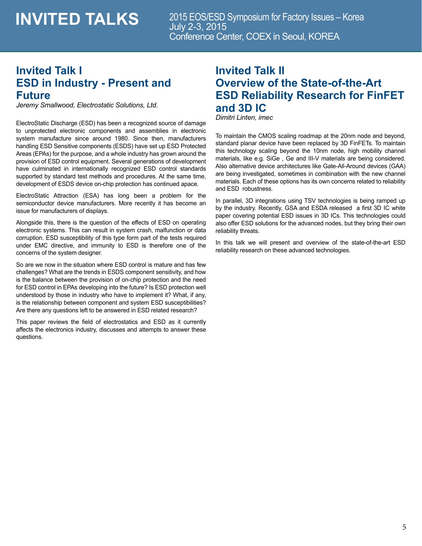# **INVITED TALKS**

2015 EOS/ESD Symposium for Factory Issues – Korea July 2-3, 2015 Conference Center, COEX in Seoul, KOREA

# **Invited Talk I ESD in Industry - Present and Future**

*Jeremy Smallwood, Electrostatic Solutions, Ltd.*

ElectroStatic Discharge (ESD) has been a recognized source of damage to unprotected electronic components and assemblies in electronic system manufacture since around 1980. Since then, manufacturers handling ESD Sensitive components (ESDS) have set up ESD Protected Areas (EPAs) for the purpose, and a whole industry has grown around the provision of ESD control equipment. Several generations of development have culminated in internationally recognized ESD control standards supported by standard test methods and procedures. At the same time, development of ESDS device on-chip protection has continued apace.

ElectroStatic Attraction (ESA) has long been a problem for the semiconductor device manufacturers. More recently it has become an issue for manufacturers of displays.

Alongside this, there is the question of the effects of ESD on operating electronic systems. This can result in system crash, malfunction or data corruption. ESD susceptibility of this type form part of the tests required under EMC directive, and immunity to ESD is therefore one of the concerns of the system designer.

So are we now in the situation where ESD control is mature and has few challenges? What are the trends in ESDS component sensitivity, and how is the balance between the provision of on-chip protection and the need for ESD control in EPAs developing into the future? Is ESD protection well understood by those in industry who have to implement it? What, if any, is the relationship between component and system ESD susceptibilities? Are there any questions left to be answered in ESD related research?

This paper reviews the field of electrostatics and ESD as it currently affects the electronics industry, discusses and attempts to answer these questions.

# **Invited Talk II Overview of the State-of-the-Art ESD Reliability Research for FinFET and 3D IC** *Dimitri Linten, imec*

To maintain the CMOS scaling roadmap at the 20nm node and beyond, standard planar device have been replaced by 3D FinFETs. To maintain this technology scaling beyond the 10nm node, high mobility channel materials, like e.g. SiGe , Ge and III-V materials are being considered. Also alternative device architectures like Gate-All-Around devices (GAA) are being investigated, sometimes in combination with the new channel materials. Each of these options has its own concerns related to reliability and ESD robustness.

In parallel, 3D integrations using TSV technologies is being ramped up by the industry. Recently, GSA and ESDA released a first 3D IC white paper covering potential ESD issues in 3D ICs. This technologies could also offer ESD solutions for the advanced nodes, but they bring their own reliability threats.

In this talk we will present and overview of the state-of-the-art ESD reliability research on these advanced technologies.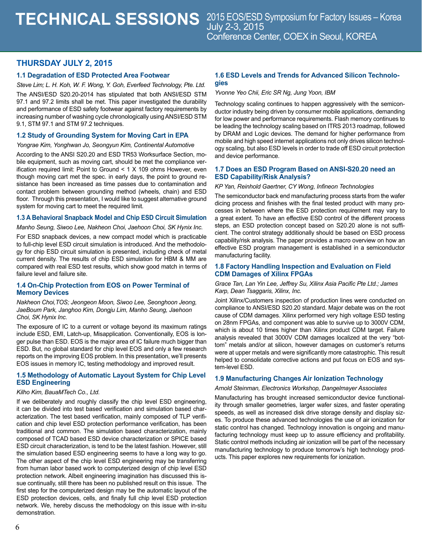### **THURSDAY JULY 2, 2015**

#### **1.1 Degradation of ESD Protected Area Footwear**

*Steve Lim; L. H. Koh, W. F. Wong, Y. Goh, Everfeed Technology, Pte. Ltd.*

The ANSI/ESD S20.20-2014 has stipulated that both ANSI/ESD STM 97.1 and 97.2 limits shall be met. This paper investigated the durability and performance of ESD safety footwear against factory requirements by increasing number of washing cycle chronologically using ANSI/ESD STM 9.1, STM 97.1 and STM 97.2 techniques.

#### **1.2 Study of Grounding System for Moving Cart in EPA**

#### *Yongrae Kim, Yonghwan Jo, Seongyun Kim, Continental Automotive*

According to the ANSI S20.20 and ESD TR53 Worksurface Section, mobile equipment, such as moving cart, should be met the compliance verification required limit: Point to Ground < 1 X 109 ohms However, even though moving cart met the spec. in early days, the point to ground resistance has been increased as time passes due to contamination and contact problem between grounding method (wheels, chain) and ESD floor. Through this presentation, I would like to suggest alternative ground system for moving cart to meet the required limit.

#### **1.3 A Behavioral Snapback Model and Chip ESD Circuit Simulation**

*Manho Seung, Siwoo Lee, Nakheon Choi, Jaehoon Choi, SK Hynix Inc.*

For ESD snapback devices, a new compact model which is practicable to full-chip level ESD circuit simulation is introduced. And the methodology for chip ESD circuit simulation is presented, including check of metal current density. The results of chip ESD simulation for HBM & MM are compared with real ESD test results, which show good match in terms of failure level and failure site.

#### **1.4 On-Chip Protection from EOS on Power Terminal of Memory Devices**

*Nakheon Choi,TOS; Jeongeon Moon, Siwoo Lee, Seonghoon Jeong, JaeBoum Park, Janghoo Kim, Dongju Lim, Manho Seung, Jaehoon Choi, SK Hynix Inc.*

The exposure of IC to a current or voltage beyond its maximum ratings include ESD, EMI, Latch-up, Misapplication. Conventionally, EOS is longer pulse than ESD. EOS is the major area of IC failure much bigger than ESD. But, no global standard for chip level EOS and only a few research reports on the improving EOS problem. In this presentation, we'll presents EOS issues in memory IC, testing methodology and improved result.

#### **1.5 Methodology of Automatic Layout System for Chip Level ESD Engineering**

#### *Kilho Kim, BauaMTech Co., Ltd.*

If we deliberately and roughly classify the chip level ESD engineering, it can be divided into test based verification and simulation based characterization. The test based verification, mainly composed of TLP verification and chip level ESD protection performance verification, has been traditional and common. The simulation based characterization, mainly composed of TCAD based ESD device characterization or SPICE based ESD circuit characterization, is tend to be the latest fashion. However, still the simulation based ESD engineering seems to have a long way to go. The other aspect of the chip level ESD engineering may be transferring from human labor based work to computerized design of chip level ESD protection network. Albeit engineering imagination has discussed this issue continually, still there has been no published result on this issue. The first step for the computerized design may be the automatic layout of the ESD protection devices, cells, and finally full chip level ESD protection network. We, hereby discuss the methodology on this issue with in-situ demonstration.

#### **1.6 ESD Levels and Trends for Advanced Silicon Technologies**

*Yvonne Yeo Chii, Eric SR Ng, Jung Yoon, IBM* 

Technology scaling continues to happen aggressively with the semiconductor industry being driven by consumer mobile applications, demanding for low power and performance requirements. Flash memory continues to be leading the technology scaling based on ITRS 2013 roadmap, followed by DRAM and Logic devices. The demand for higher performance from mobile and high speed internet applications not only drives silicon technology scaling, but also ESD levels in order to trade off ESD circuit protection and device performance.

#### **1.7 Does an ESD Program Based on ANSI-S20.20 need an ESD Capability/Risk Analysis?**

#### *KP Yan, Reinhold Gaertner, CY Wong, Infineon Technologies*

The semiconductor back end manufacturing process starts from the wafer dicing process and finishes with the final tested product with many processes in between where the ESD protection requirement may vary to a great extent. To have an effective ESD control of the different process steps, an ESD protection concept based on S20.20 alone is not sufficient. The control strategy additionally should be based on ESD process capability/risk analysis. The paper provides a macro overview on how an effective ESD program management is established in a semiconductor manufacturing facility.

#### **1.8 Factory Handling Inspection and Evaluation on Field CDM Damages of Xilinx FPGAs**

#### *Grace Tan, Lan Yin Lee, Jeffrey Su, Xilinx Asia Pacific Pte Ltd.; James Karp, Dean Tsaggaris, Xilinx, Inc.*

Joint Xilinx/Customers inspection of production lines were conducted on compliance to ANSI/ESD S20.20 standard. Major debate was on the root cause of CDM damages. Xilinx performed very high voltage ESD testing on 28nm FPGAs, and component was able to survive up to 3000V CDM, which is about 10 times higher than Xilinx product CDM target. Failure analysis revealed that 3000V CDM damages localized at the very "bottom" metals and/or at silicon, however damages on customer's returns were at upper metals and were significantly more catastrophic. This result helped to consolidate corrective actions and put focus on EOS and system-level ESD.

#### **1.9 Manufacturing Changes Air Ionization Technology**

#### *Arnold Steinman, Electronics Workshop, Dangelmayer Associates*

Manufacturing has brought increased semiconductor device functionality through smaller geometries, larger wafer sizes, and faster operating speeds, as well as increased disk drive storage density and display sizes. To produce these advanced technologies the use of air ionization for static control has changed. Technology innovation is ongoing and manufacturing technology must keep up to assure efficiency and profitability. Static control methods including air ionization will be part of the necessary manufacturing technology to produce tomorrow's high technology products. This paper explores new requirements for ionization.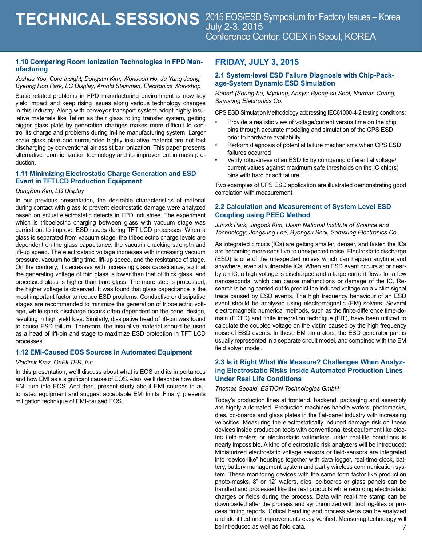#### **1.10 Comparing Room Ionization Technologies in FPD Manufacturing**

*Joshua Yoo, Core Insight; Dongsun Kim, WonJoon Ho, Ju Yung Jeong, Byeong Hoo Park, LG Display; Arnold Steinman, Electronics Workshop*

Static related problems in FPD manufacturing environment is now key yield impact and keep rising issues along various technology changes in this industry. Along with conveyor transport system adopt highly insulative materials like Teflon as their glass rolling transfer system, getting bigger glass plate by generation changes makes more difficult to control its charge and problems during in-line manufacturing system. Larger scale glass plate and surrounded highly insulative material are not fast discharging by conventional air assist bar ionization. This paper presents alternative room ionization technology and its improvement in mass production.

#### **1.11 Minimizing Electrostatic Charge Generation and ESD Event in TFTLCD Production Equipment**

#### *DongSun Kim, LG Display*

In our previous presentation, the desirable characteristics of material during contact with glass to prevent electrostatic damage were analyzed based on actual electrostatic defects in FPD industries. The experiment which is triboelectric charging between glass with vacuum stage was carried out to improve ESD issues during TFT LCD processes. When a glass is separated from vacuum stage, the triboelectric charge levels are dependent on the glass capacitance, the vacuum chucking strength and lift-up speed. The electrostatic voltage increases with increasing vacuum pressure, vacuum holding time, lift-up speed, and the resistance of stage. On the contrary, it decreases with increasing glass capacitance, so that the generating voltage of thin glass is lower than that of thick glass, and processed glass is higher than bare glass. The more step is processed, the higher voltage is observed. It was found that glass capacitance is the most important factor to reduce ESD problems. Conductive or dissipative stages are recommended to minimize the generation of triboelectric voltage, while spark discharge occurs often dependent on the panel design, resulting in high yield loss. Similarly, dissipative head of lift-pin was found to cause ESD failure. Therefore, the insulative material should be used as a head of lift-pin and stage to maximize ESD protection in TFT LCD processes.

#### **1.12 EMI-Caused EOS Sources in Automated Equipment**

#### *Vladimir Kraz, OnFILTER, Inc.*

In this presentation, we'll discuss about what is EOS and its importances and how EMI as a significant cause of EOS. Also, we'll describe how does EMI turn into EOS. And then, present study about EMI sources in automated equipment and suggest acceptable EMI limits. Finally, presents mitigation technique of EMI-caused EOS.

### **FRIDAY, JULY 3, 2015**

#### **2.1 System-level ESD Failure Diagnosis with Chip-Package-System Dynamic ESD Simulation**

*Robert (Soung-ho) Myoung, Ansys; Byong-su Seol, Norman Chang, Samsung Electronics Co.*

CPS ESD Simulation Methodology addressing IEC61000-4-2 testing conditions:

- Provide a realistic view of voltage/current versus time on the chip pins through accurate modeling and simulation of the CPS ESD prior to hardware availability
- Perform diagnosis of potential failure mechanisms when CPS ESD failures occurred
- Verify robustness of an ESD fix by comparing differential voltage/ current values against maximum safe thresholds on the IC chip(s) pins with hard or soft failure.

Two examples of CPS ESD application are illustrated demonstrating good correlation with measurement

#### **2.2 Calculation and Measurement of System Level ESD Coupling using PEEC Method**

*Junsik Park, Jingook Kim, Ulsan National Institute of Science and Technology; Jongsung Lee, Byongsu Seol, Samsung Electronics Co.*

As integrated circuits (ICs) are getting smaller, denser, and faster, the ICs are becoming more sensitive to unexpected noise. Electrostatic discharge (ESD) is one of the unexpected noises which can happen anytime and anywhere, even at vulnerable ICs. When an ESD event occurs at or nearby an IC, a high voltage is discharged and a large current flows for a few nanoseconds, which can cause malfunctions or damage of the IC. Research is being carried out to predict the induced voltage on a victim signal trace caused by ESD events. The high frequency behaviour of an ESD event should be analyzed using electromagnetic (EM) solvers. Several electromagnetic numerical methods, such as the finite-difference time-domain (FDTD) and finite integration technique (FIT), have been utilized to calculate the coupled voltage on the victim caused by the high frequency noise of ESD events. In those EM simulators, the ESD generator part is usually represented in a separate circuit model, and combined with the EM field solver model.

#### **2.3 Is it Right What We Measure? Challenges When Analyzing Electrostatic Risks Inside Automated Production Lines Under Real Life Conditions**

#### *Thomas Sebald, ESTION Technologies GmbH*

7 Today's production lines at frontend, backend, packaging and assembly are highly automated. Production machines handle wafers, photomasks, dies, pc-boards and glass plates in the flat-panel industry with increasing velocities. Measuring the electrostatically induced damage risk on these devices inside production tools with conventional test equipment like electric field-meters or electrostatic voltmeters under real-life conditions is nearly impossible. A kind of electrostatic risk analyzers will be introduced: Miniaturized electrostatic voltage sensors or field-sensors are integrated into "device-like" housings together with data-logger, real-time-clock, battery, battery management system and partly wireless communication system. These monitoring devices with the same form factor like production photo-masks, 8" or 12" wafers, dies, pc-boards or glass panels can be handled and processed like the real products while recording electrostatic charges or fields during the process. Data with real-time stamp can be downloaded after the process and synchronized with tool log-files or process timing reports. Critical handling and process steps can be analyzed and identified and improvements easy verified. Measuring technology will be introduced as well as field-data.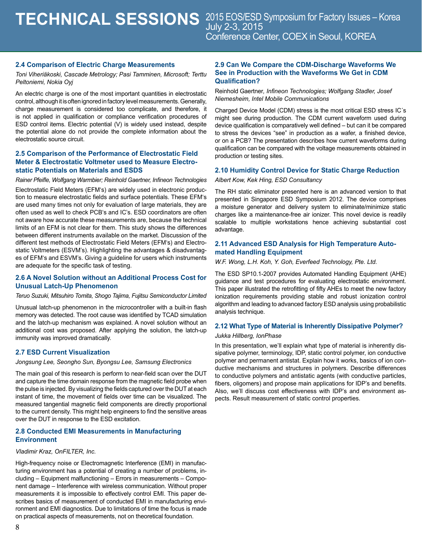#### **2.4 Comparison of Electric Charge Measurements**

*Toni Viheriäkoski, Cascade Metrology; Pasi Tamminen, Microsoft; Terttu Peltoniemi, Nokia Oyj*

An electric charge is one of the most important quantities in electrostatic control, although it is often ignored in factory level measurements. Generally, charge measurement is considered too complicate, and therefore, it is not applied in qualification or compliance verification procedures of ESD control items. Electric potential (V) is widely used instead, despite the potential alone do not provide the complete information about the electrostatic source circuit.

#### **2.5 Comparison of the Performance of Electrostatic Field Meter & Electrostatic Voltmeter used to Measure Electrostatic Potentials on Materials and ESDS**

*Rainer Pfeifle, Wolfgang Warmbier; Reinhold Gaertner, Infineon Technologies*

Electrostatic Field Meters (EFM's) are widely used in electronic production to measure electrostatic fields and surface potentials. These EFM's are used many times not only for evaluation of large materials, they are often used as well to check PCB's and IC's. ESD coordinators are often not aware how accurate these measurements are, because the technical limits of an EFM is not clear for them. This study shows the differences between different instruments available on the market. Discussion of the different test methods of Electrostatic Field Meters (EFM's) and Electrostatic Voltmeters (ESVM's). Highlighting the advantages & disadvantages of EFM's and ESVM's. Giving a guideline for users which instruments are adequate for the specific task of testing.

#### **2.6 A Novel Solution without an Additional Process Cost for Unusual Latch-Up Phenomenon**

*Teruo Suzuki, Mitsuhiro Tomita, Shogo Tajima, Fujitsu Semiconductor Limited*

Unusual latch-up phenomenon in the microcontroller with a built-in flash memory was detected. The root cause was identified by TCAD simulation and the latch-up mechanism was explained. A novel solution without an additional cost was proposed. After applying the solution, the latch-up immunity was improved dramatically.

#### **2.7 ESD Current Visualization**

*Jongsung Lee, Seongho Sun, Byongsu Lee, Samsung Electronics*

The main goal of this research is perform to near-field scan over the DUT and capture the time domain response from the magnetic field probe when the pulse is injected. By visualizing the fields captured over the DUT at each instant of time, the movement of fields over time can be visualized. The measured tangential magnetic field components are directly proportional to the current density. This might help engineers to find the sensitive areas over the DUT in response to the ESD excitation.

#### **2.8 Conducted EMI Measurements in Manufacturing Environment**

#### *Vladimir Kraz, OnFILTER, Inc.*

High-frequency noise or Electromagnetic Interference (EMI) in manufacturing environment has a potential of creating a number of problems, including – Equipment malfunctioning – Errors in measurements – Component damage – Interference with wireless communication. Without proper measurements it is impossible to effectively control EMI. This paper describes basics of measurement of conducted EMI in manufacturing environment and EMI diagnostics. Due to limitations of time the focus is made on practical aspects of measurements, not on theoretical foundation.

#### **2.9 Can We Compare the CDM-Discharge Waveforms We See in Production with the Waveforms We Get in CDM Qualification?**

Reinhold Gaertner*, Infineon Technologies; Wolfgang Stadler, Josef Niemesheim, Intel Mobile Communications*

Charged Device Model (CDM) stress is the most critical ESD stress IC´s might see during production. The CDM current waveform used during device qualification is comparatively well defined – but can it be compared to stress the devices "see" in production as a wafer, a finished device, or on a PCB? The presentation describes how current waveforms during qualification can be compared with the voltage measurements obtained in production or testing sites.

### **2.10 Humidity Control Device for Static Charge Reduction**

*Albert Kow, Kek Hing, ESD Consultancy* 

The RH static eliminator presented here is an advanced version to that presented in Singapore ESD Symposium 2012. The device comprises a moisture generator and delivery system to eliminate/minimize static charges like a maintenance-free air ionizer. This novel device is readily scalable to multiple workstations hence achieving substantial cost advantage.

#### **2.11 Advanced ESD Analysis for High Temperature Automated Handling Equipment**

*W.F. Wong, L.H. Koh, Y. Goh, Everfeed Technology, Pte. Ltd.*

The ESD SP10.1-2007 provides Automated Handling Equipment (AHE) guidance and test procedures for evaluating electrostatic environment. This paper illustrated the retrofitting of fifty AHEs to meet the new factory ionization requirements providing stable and robust ionization control algorithm and leading to advanced factory ESD analysis using probabilistic analysis technique.

#### **2.12 What Type of Material is Inherently Dissipative Polymer?**

#### *Jukka Hillberg, IonPhase*

In this presentation, we'll explain what type of material is inherently dissipative polymer, terminology, IDP, static control polymer, ion conductive polymer and permanent antistat. Explain how it works, basics of ion conductive mechanisms and structures in polymers. Describe differences to conductive polymers and antistatic agents (with conductive particles, fibers, oligomers) and propose main applications for IDP's and benefits. Also, we'll discuss cost effectiveness with IDP's and environment aspects. Result measurement of static control properties.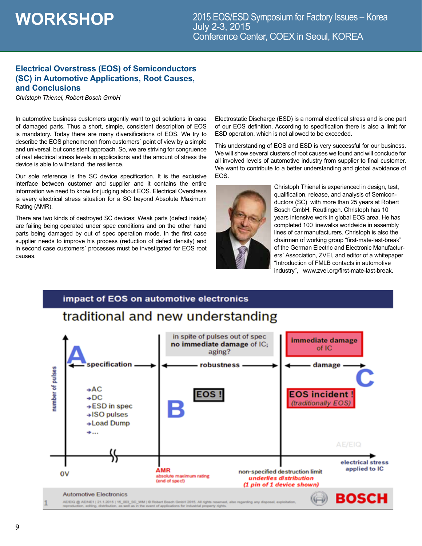### **Electrical Overstress (EOS) of Semiconductors (SC) in Automotive Applications, Root Causes, and Conclusions**

*Christoph Thienel, Robert Bosch GmbH*

In automotive business customers urgently want to get solutions in case of damaged parts. Thus a short, simple, consistent description of EOS is mandatory. Today there are many diversifications of EOS. We try to describe the EOS phenomenon from customers` point of view by a simple and universal, but consistent approach. So, we are striving for congruence of real electrical stress levels in applications and the amount of stress the device is able to withstand, the resilience.

Our sole reference is the SC device specification. It is the exclusive interface between customer and supplier and it contains the entire information we need to know for judging about EOS. Electrical Overstress is every electrical stress situation for a SC beyond Absolute Maximum Rating (AMR).

There are two kinds of destroyed SC devices: Weak parts (defect inside) are failing being operated under spec conditions and on the other hand parts being damaged by out of spec operation mode. In the first case supplier needs to improve his process (reduction of defect density) and in second case customers` processes must be investigated for EOS root causes.

Electrostatic Discharge (ESD) is a normal electrical stress and is one part of our EOS definition. According to specification there is also a limit for ESD operation, which is not allowed to be exceeded.

This understanding of EOS and ESD is very successful for our business. We will show several clusters of root causes we found and will conclude for all involved levels of automotive industry from supplier to final customer. We want to contribute to a better understanding and global avoidance of EOS.



Christoph Thienel is experienced in design, test, qualification, release, and analysis of Semiconductors (SC) with more than 25 years at Robert Bosch GmbH, Reutlingen. Christoph has 10 years intensive work in global EOS area. He has completed 100 linewalks worldwide in assembly lines of car manufacturers. Christoph is also the chairman of working group "first-mate-last-break" of the German Electric and Electronic Manufacturers` Association, ZVEI, and editor of a whitepaper "Introduction of FMLB contacts in automotive industry", www.zvei.org/first-mate-last-break.

### impact of EOS on automotive electronics

# traditional and new understanding

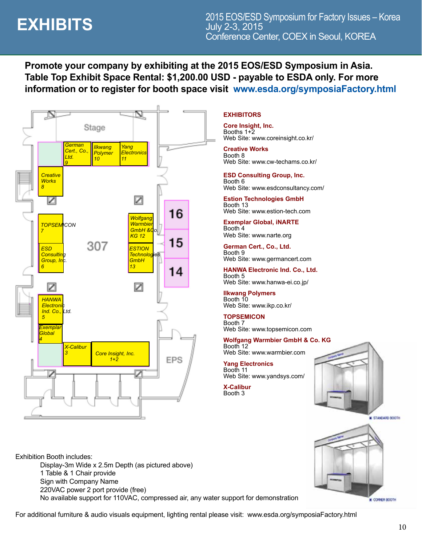# **EXHIBITS**

**Promote your company by exhibiting at the 2015 EOS/ESD Symposium in Asia. Table Top Exhibit Space Rental: \$1,200.00 USD - payable to ESDA only. For more information or to register for booth space visit www.esda.org/symposiaFactory.html**



### **EXHIBITORS**

**Core Insight, Inc.** Booths 1+2 Web Site: www.coreinsight.co.kr/

**Creative Works** Booth 8 Web Site: www.cw-techams.co.kr/

**ESD Consulting Group, Inc.** Booth 6 Web Site: www.esdconsultancy.com/

**Estion Technologies GmbH** Booth 13 Web Site: www.estion-tech.com

**Exemplar Global, iNARTE** Booth 4 Web Site: www.narte.org

**German Cert., Co., Ltd.** Booth 9

Web Site: www.germancert.com **HANWA Electronic Ind. Co., Ltd.**

Booth 5 Web Site: www.hanwa-ei.co.jp/

**Ilkwang Polymers** Booth 10 Web Site: www.ikp.co.kr/

#### **TOPSEMICON** Booth 7

Web Site: www.topsemicon.com

#### **Wolfgang Warmbier GmbH & Co. KG** Booth 12

Web Site: www.warmbier.com

**Yang Electronics** Booth 11 Web Site: www.yandsys.com/

**X-Calibur** Booth 3



STANDARD BOOTH

CORNER BOOTH



For additional furniture & audio visuals equipment, lighting rental please visit: www.esda.org/symposiaFactory.html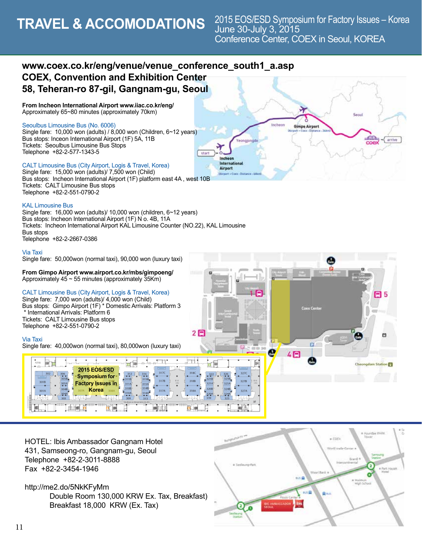# **TRAVEL & ACCOMODATIONS**

# **www.coex.co.kr/eng/venue/venue\_conference\_south1\_a.asp COEX, Convention and Exhibition Center 58, Teheran-ro 87-gil, Gangnam-gu, Seoul**

**From Incheon International Airport www.iiac.co.kr/eng/**  Approximately 65~80 minutes (approximately 70km)

#### Seoulbus Limousine Bus (No. 6006)

Single fare: 10,000 won (adults) / 8,000 won (Children, 6~12 years) Bus stops: Inceon International Airport (1F) 5A, 11B Tickets: Seoulbus Limousine Bus Stops Telephone +82-2-577-1343-5

#### CALT Limousine Bus (City Airport, Logis & Travel, Korea)

Single fare: 15,000 won (adults)/ 7,500 won (Child) Bus stops: Incheon International Airport (1F) platform east 4A , west 10B Tickets: CALT Limousine Bus stops Telephone +82-2-551-0790-2

#### KAL Limousine Bus

Single fare: 16,000 won (adults)/ 10,000 won (children, 6~12 years) Bus stops: Incheon International Airport (1F) N o. 4B, 11A Tickets: Incheon International Airport KAL Limousine Counter (NO.22), KAL Limousine Bus stops Telephone +82-2-2667-0386

#### Via Taxi

Single fare: 50,000won (normal taxi), 90,000 won (luxury taxi)

**From Gimpo Airport www.airport.co.kr/mbs/gimpoeng/**  Approximately  $45 \sim 55$  minutes (approximately 35Km)

#### CALT Limousine Bus (City Airport, Logis & Travel, Korea)

Single fare: 7,000 won (adults)/ 4,000 won (Child) Bus stops: Gimpo Airport (1F) \* Domestic Arrivals: Platform 3 \* International Arrivals: Platform 6 Tickets: CALT Limousine Bus stops Telephone +82-2-551-0790-2

#### Via Taxi

Single fare: 40,000won (normal taxi), 80,000won (luxury taxi)



2日

HOTEL: Ibis Ambassador Gangnam Hotel 431, Samseong-ro, Gangnam-gu, Seoul Telephone +82-2-3011-8888 Fax +82-2-3454-1946

#### http://me2.do/5NkKFyMm

Double Room 130,000 KRW Ex. Tax, Breakfast) Breakfast 18,000 KRW (Ex. Tax)



 $\overline{a}$ 

 $4F$ 

日5

e